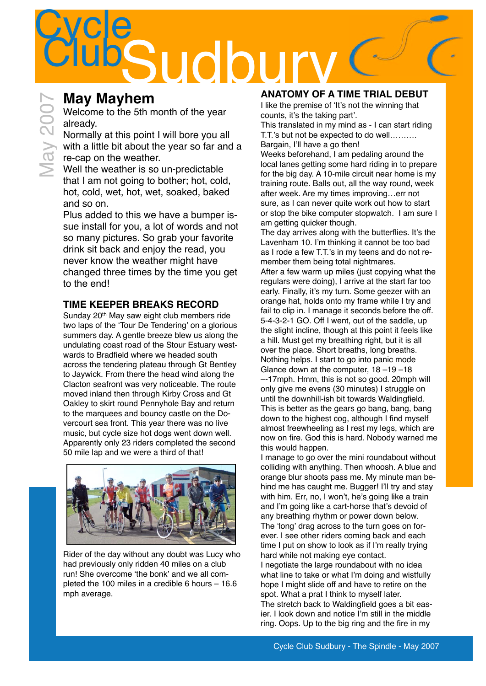# **Cycle** Sudb

### **May Mayhem**

Welcome to the 5th month of the year already.

Normally at this point I will bore you all with a little bit about the year so far and a re-cap on the weather.

Well the weather is so un-predictable that I am not going to bother; hot, cold, hot, cold, wet, hot, wet, soaked, baked and so on.

Plus added to this we have a bumper issue install for you, a lot of words and not so many pictures. So grab your favorite drink sit back and enjoy the read, you never know the weather might have changed three times by the time you get to the end!

### **TIME KEEPER BREAKS RECORD**

Sunday 20<sup>th</sup> May saw eight club members ride two laps of the 'Tour De Tendering' on a glorious summers day. A gentle breeze blew us along the undulating coast road of the Stour Estuary westwards to Bradfield where we headed south across the tendering plateau through Gt Bentley to Jaywick. From there the head wind along the Clacton seafront was very noticeable. The route moved inland then through Kirby Cross and Gt Oakley to skirt round Pennyhole Bay and return to the marquees and bouncy castle on the Dovercourt sea front. This year there was no live music, but cycle size hot dogs went down well. Apparently only 23 riders completed the second 50 mile lap and we were a third of that!



Rider of the day without any doubt was Lucy who had previously only ridden 40 miles on a club run! She overcome 'the bonk' and we all completed the 100 miles in a credible 6 hours – 16.6 mph average.

### **ANATOMY OF A TIME TRIAL DEBUT**

I like the premise of 'It's not the winning that counts, it's the taking part'.

This translated in my mind as - I can start riding T.T.'s but not be expected to do well………. Bargain, I'll have a go then!

Weeks beforehand, I am pedaling around the local lanes getting some hard riding in to prepare for the big day. A 10-mile circuit near home is my training route. Balls out, all the way round, week after week. Are my times improving…err not sure, as I can never quite work out how to start or stop the bike computer stopwatch. I am sure I am getting quicker though.

The day arrives along with the butterflies. It's the Lavenham 10. I'm thinking it cannot be too bad as I rode a few T.T.'s in my teens and do not remember them being total nightmares.

After a few warm up miles (just copying what the regulars were doing), I arrive at the start far too early. Finally, it's my turn. Some geezer with an orange hat, holds onto my frame while I try and fail to clip in. I manage it seconds before the off. 5-4-3-2-1 GO. Off I went, out of the saddle, up the slight incline, though at this point it feels like a hill. Must get my breathing right, but it is all over the place. Short breaths, long breaths. Nothing helps. I start to go into panic mode Glance down at the computer, 18 –19 –18 –-17mph. Hmm, this is not so good. 20mph will only give me evens (30 minutes) I struggle on until the downhill-ish bit towards Waldingfield. This is better as the gears go bang, bang, bang down to the highest cog, although I find myself almost freewheeling as I rest my legs, which are now on fire. God this is hard. Nobody warned me this would happen.

I manage to go over the mini roundabout without colliding with anything. Then whoosh. A blue and orange blur shoots pass me. My minute man behind me has caught me. Bugger! I'll try and stay with him. Err, no, I won't, he's going like a train and I'm going like a cart-horse that's devoid of any breathing rhythm or power down below. The 'long' drag across to the turn goes on forever. I see other riders coming back and each time I put on show to look as if I'm really trying hard while not making eye contact. I negotiate the large roundabout with no idea what line to take or what I'm doing and wistfully hope I might slide off and have to retire on the spot. What a prat I think to myself later. The stretch back to Waldingfield goes a bit easier. I look down and notice I'm still in the middle ring. Oops. Up to the big ring and the fire in my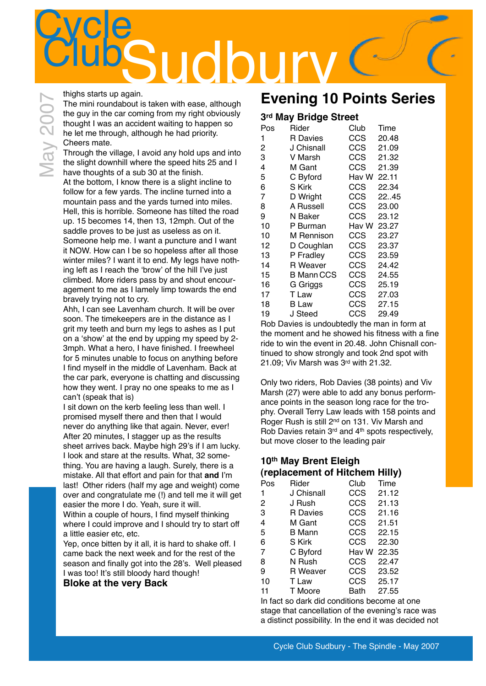## **Cycle TIGIO**

thighs starts up again.

Vlav 200 $7$ 

The mini roundabout is taken with ease, although the guy in the car coming from my right obviously thought I was an accident waiting to happen so he let me through, although he had priority. Cheers mate.

Through the village, I avoid any hold ups and into the slight downhill where the speed hits 25 and I have thoughts of a sub 30 at the finish. At the bottom, I know there is a slight incline to follow for a few yards. The incline turned into a mountain pass and the yards turned into miles. Hell, this is horrible. Someone has tilted the road up. 15 becomes 14, then 13, 12mph. Out of the saddle proves to be just as useless as on it. Someone help me. I want a puncture and I want it NOW. How can I be so hopeless after all those winter miles? I want it to end. My legs have nothing left as I reach the 'brow' of the hill I've just climbed. More riders pass by and shout encouragement to me as I lamely limp towards the end bravely trying not to cry.

Ahh, I can see Lavenham church. It will be over soon. The timekeepers are in the distance as I grit my teeth and burn my legs to ashes as I put on a 'show' at the end by upping my speed by 2- 3mph. What a hero, I have finished. I freewheel for 5 minutes unable to focus on anything before I find myself in the middle of Lavenham. Back at the car park, everyone is chatting and discussing how they went. I pray no one speaks to me as I can't (speak that is)

I sit down on the kerb feeling less than well. I promised myself there and then that I would never do anything like that again. Never, ever! After 20 minutes, I stagger up as the results sheet arrives back. Maybe high 29's if I am lucky. I look and stare at the results. What, 32 something. You are having a laugh. Surely, there is a mistake. All that effort and pain for that **and** I'm last! Other riders (half my age and weight) come over and congratulate me (!) and tell me it will get easier the more I do. Yeah, sure it will. Within a couple of hours, I find myself thinking where I could improve and I should try to start off a little easier etc, etc.

Yep, once bitten by it all, it is hard to shake off. I came back the next week and for the rest of the season and finally got into the 28's. Well pleased I was too! It's still bloody hard though!

#### **Bloke at the very Back**

### **Evening 10 Points Series**

### **3rd May Bridge Street**

| Pos | Rider           | Club  | Time  |
|-----|-----------------|-------|-------|
| 1   | <b>R</b> Davies | CCS   | 20.48 |
| 2   | J Chisnall      | CCS   | 21.09 |
| 3   | V Marsh         | CCS   | 21.32 |
| 4   | M Gant          | CCS   | 21.39 |
| 5   | C Byford        | Hav W | 22.11 |
| 6   | S Kirk          | CCS   | 22.34 |
| 7   | D Wright        | CCS   | 22.45 |
| 8   | A Russell       | CCS   | 23.00 |
| 9   | N Baker         | CCS   | 23.12 |
| 10  | P Burman        | Hav W | 23.27 |
| 10  | M Rennison      | CCS   | 23.27 |
| 12  | D Coughlan      | CCS   | 23.37 |
| 13  | P Fradley       | CCS   | 23.59 |
| 14  | <b>R</b> Weaver | CCS   | 24.42 |
| 15  | B Mann CCS      | CCS   | 24.55 |
| 16  | G Griggs        | CCS   | 25.19 |
| 17  | T Law           | CCS   | 27.03 |
| 18  | B Law           | CCS   | 27.15 |
| 19  | J Steed         | CCS   | 29.49 |

Rob Davies is undoubtedly the man in form at the moment and he showed his fitness with a fine ride to win the event in 20.48. John Chisnall continued to show strongly and took 2nd spot with 21.09; Viv Marsh was 3rd with 21.32.

Only two riders, Rob Davies (38 points) and Viv Marsh (27) were able to add any bonus performance points in the season long race for the trophy. Overall Terry Law leads with 158 points and Roger Rush is still 2<sup>nd</sup> on 131. Viv Marsh and Rob Davies retain 3rd and 4th spots respectively, but move closer to the leading pair

### **10th May Brent Eleigh (replacement of Hitchem Hilly)**

| Pos | Rider           | Club       | Time  |
|-----|-----------------|------------|-------|
| 1   | J Chisnall      | CCS        | 21.12 |
| 2   | J Rush          | CCS        | 21.13 |
| 3   | <b>R</b> Davies | <b>CCS</b> | 21.16 |
| 4   | M Gant          | <b>CCS</b> | 21.51 |
| 5   | B Mann          | <b>CCS</b> | 22.15 |
| 6   | S Kirk          | CCS        | 22.30 |
| 7   | C Byford        | Hav W      | 22.35 |
| 8   | N Rush          | CCS        | 22.47 |
| 9   | R Weaver        | <b>CCS</b> | 23.52 |
| 10  | T Law           | CCS        | 25.17 |
| 11  | T Moore         | Bath       | 27.55 |

In fact so dark did conditions become at one stage that cancellation of the evening's race was a distinct possibility. In the end it was decided not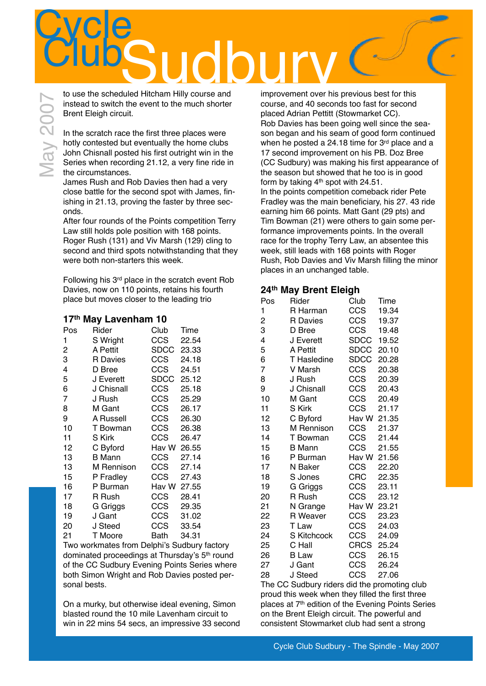# **Cycle** CLUBS UDBUT N

In the scratch race the first three places were hotly contested but eventually the home clubs John Chisnall posted his first outright win in the Series when recording 21.12, a very fine ride in the circumstances.

James Rush and Rob Davies then had a very close battle for the second spot with James, finishing in 21.13, proving the faster by three seconds.

After four rounds of the Points competition Terry Law still holds pole position with 168 points. Roger Rush (131) and Viv Marsh (129) cling to second and third spots notwithstanding that they were both non-starters this week.

Following his 3rd place in the scratch event Rob Davies, now on 110 points, retains his fourth place but moves closer to the leading trio

#### **17th May Lavenham 10**

| Pos | Rider         | Club        | Time  |
|-----|---------------|-------------|-------|
| 1   | S Wright      | CCS         | 22.54 |
| 2   | A Pettit      | <b>SDCC</b> | 23.33 |
| 3   | R Davies      | <b>CCS</b>  | 24.18 |
| 4   | D Bree        | CCS         | 24.51 |
| 5   | J Everett     | <b>SDCC</b> | 25.12 |
| 6   | J Chisnall    | CCS         | 25.18 |
| 7   | J Rush        | CCS         | 25.29 |
| 8   | M Gant        | CCS         | 26.17 |
| 9   | A Russell     | <b>CCS</b>  | 26.30 |
| 10  | T Bowman      | <b>CCS</b>  | 26.38 |
| 11  | S Kirk        | CCS         | 26.47 |
| 12  | C Byford      | Hav W 26.55 |       |
| 13  | <b>B</b> Mann | CCS         | 27.14 |
| 13  | M Rennison    | <b>CCS</b>  | 27.14 |
| 15  | P Fradley     | <b>CCS</b>  | 27.43 |
| 16  | P Burman      | Hav W       | 27.55 |
| 17  | R Rush        | CCS         | 28.41 |
| 18  | G Griggs      | CCS         | 29.35 |
| 19  | J Gant        | <b>CCS</b>  | 31.02 |
| 20  | J Steed       | CCS         | 33.54 |
| 21  | T Moore       | Bath        | 34.31 |

Two workmates from Delphi's Sudbury factory dominated proceedings at Thursday's 5th round of the CC Sudbury Evening Points Series where both Simon Wright and Rob Davies posted personal bests.

On a murky, but otherwise ideal evening, Simon blasted round the 10 mile Lavenham circuit to win in 22 mins 54 secs, an impressive 33 second

improvement over his previous best for this course, and 40 seconds too fast for second placed Adrian Pettitt (Stowmarket CC). Rob Davies has been going well since the season began and his seam of good form continued when he posted a 24.18 time for 3rd place and a 17 second improvement on his PB. Doz Bree (CC Sudbury) was making his first appearance of the season but showed that he too is in good form by taking 4<sup>th</sup> spot with 24.51. In the points competition comeback rider Pete Fradley was the main beneficiary, his 27. 43 ride earning him 66 points. Matt Gant (29 pts) and Tim Bowman (21) were others to gain some performance improvements points. In the overall race for the trophy Terry Law, an absentee this week, still leads with 168 points with Roger Rush, Rob Davies and Viv Marsh filling the minor places in an unchanged table.

#### **24th May Brent Eleigh**

| Pos            | Rider           | Club        | Time  |
|----------------|-----------------|-------------|-------|
| 1              | R Harman        | <b>CCS</b>  | 19.34 |
| $\overline{c}$ | <b>R</b> Davies | <b>CCS</b>  | 19.37 |
| 3              | D Bree          | <b>CCS</b>  | 19.48 |
| 4              | J Everett       | SDCC        | 19.52 |
| 5              | A Pettit        | <b>SDCC</b> | 20.10 |
| 6              | T Hasledine     | <b>SDCC</b> | 20.28 |
| 7              | V Marsh         | CCS         | 20.38 |
| 8              | J Rush          | <b>CCS</b>  | 20.39 |
| 9              | J Chisnall      | <b>CCS</b>  | 20.43 |
| 10             | M Gant          | <b>CCS</b>  | 20.49 |
| 11             | S Kirk          | <b>CCS</b>  | 21.17 |
| 12             | C Byford        | Hav W       | 21.35 |
| 13             | M Rennison      | <b>CCS</b>  | 21.37 |
| 14             | T Bowman        | <b>CCS</b>  | 21.44 |
| 15             | <b>B</b> Mann   | CCS         | 21.55 |
| 16             | P Burman        | Hav W       | 21.56 |
| 17             | N Baker         | <b>CCS</b>  | 22.20 |
| 18             | S Jones         | <b>CRC</b>  | 22.35 |
| 19             | G Griggs        | <b>CCS</b>  | 23.11 |
| 20             | R Rush          | <b>CCS</b>  | 23.12 |
| 21             | N Grange        | Hav W       | 23.21 |
| 22             | R Weaver        | CCS         | 23.23 |
| 23             | T Law           | <b>CCS</b>  | 24.03 |
| 24             | S Kitchcock     | <b>CCS</b>  | 24.09 |
| 25             | C Hall          | <b>CRCS</b> | 25.24 |
| 26             | <b>B</b> Law    | <b>CCS</b>  | 26.15 |
| 27             | J Gant          | CCS         | 26.24 |
| 28             | J Steed         | CCS         | 27.06 |

The CC Sudbury riders did the promoting club proud this week when they filled the first three places at 7th edition of the Evening Points Series on the Brent Eleigh circuit. The powerful and consistent Stowmarket club had sent a strong